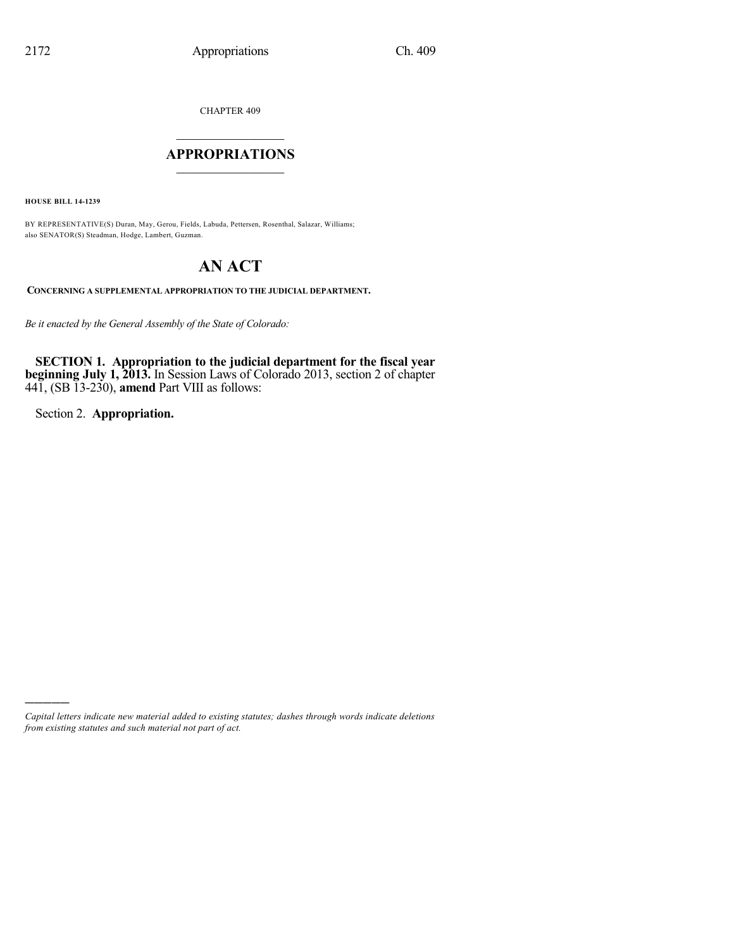CHAPTER 409

# $\mathcal{L}_\text{max}$  . The set of the set of the set of the set of the set of the set of the set of the set of the set of the set of the set of the set of the set of the set of the set of the set of the set of the set of the set **APPROPRIATIONS**  $\_$   $\_$   $\_$   $\_$   $\_$   $\_$   $\_$   $\_$

**HOUSE BILL 14-1239**

BY REPRESENTATIVE(S) Duran, May, Gerou, Fields, Labuda, Pettersen, Rosenthal, Salazar, Williams; also SENATOR(S) Steadman, Hodge, Lambert, Guzman.

# **AN ACT**

**CONCERNING A SUPPLEMENTAL APPROPRIATION TO THE JUDICIAL DEPARTMENT.**

*Be it enacted by the General Assembly of the State of Colorado:*

**SECTION 1. Appropriation to the judicial department for the fiscal year beginning July 1, 2013.** In Session Laws of Colorado 2013, section 2 of chapter 441, (SB 13-230), **amend** Part VIII as follows:

Section 2. **Appropriation.**

)))))

*Capital letters indicate new material added to existing statutes; dashes through words indicate deletions from existing statutes and such material not part of act.*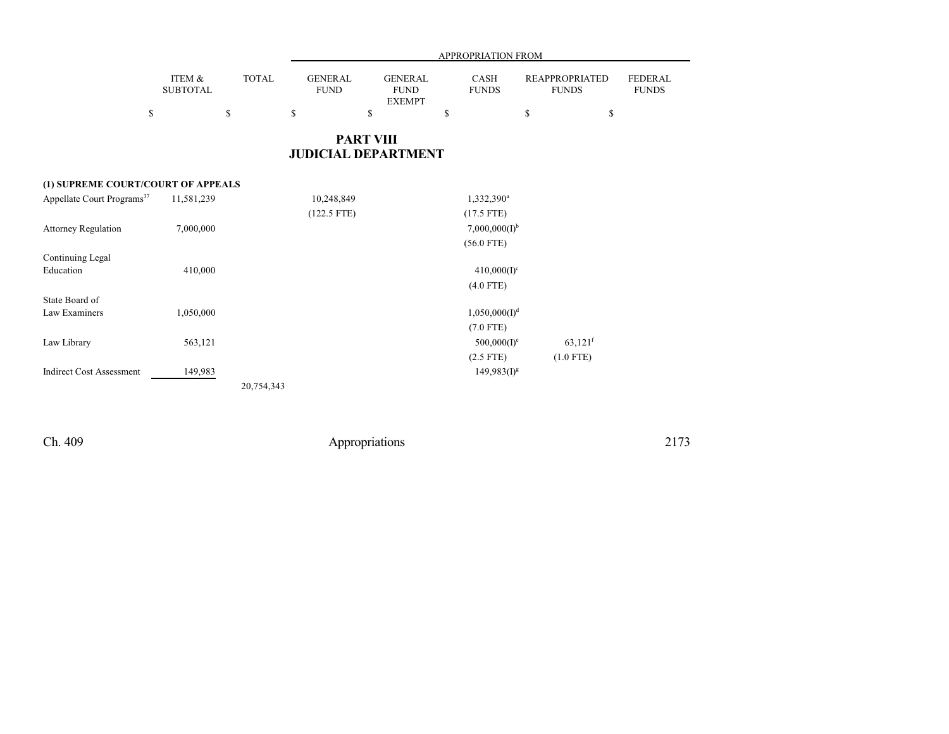|                           | <b>PART VIII</b><br><b>JUDICIAL DEPARTMENT</b> |                               |                                                |                             |                                       |                         |  |  |  |  |
|---------------------------|------------------------------------------------|-------------------------------|------------------------------------------------|-----------------------------|---------------------------------------|-------------------------|--|--|--|--|
| \$                        | S                                              | S                             | S                                              |                             | D<br>۵                                |                         |  |  |  |  |
| ITEM &<br><b>SUBTOTAL</b> | <b>TOTAL</b>                                   | <b>GENERAL</b><br><b>FUND</b> | <b>GENERAL</b><br><b>FUND</b><br><b>EXEMPT</b> | <b>CASH</b><br><b>FUNDS</b> | <b>REAPPROPRIATED</b><br><b>FUNDS</b> | FEDERAL<br><b>FUNDS</b> |  |  |  |  |
| <b>APPROPRIATION FROM</b> |                                                |                               |                                                |                             |                                       |                         |  |  |  |  |

## **(1) SUPREME COURT/COURT OF APPEALS**

| Appellate Court Programs <sup>37</sup> | 11,581,239 | 10,248,849    | 1,332,390 <sup>a</sup>    |                       |
|----------------------------------------|------------|---------------|---------------------------|-----------------------|
|                                        |            | $(122.5$ FTE) | $(17.5$ FTE)              |                       |
| <b>Attorney Regulation</b>             | 7,000,000  |               | $7,000,000(I)^{b}$        |                       |
|                                        |            |               | $(56.0$ FTE)              |                       |
| Continuing Legal                       |            |               |                           |                       |
| Education                              | 410,000    |               | $410,000(1)^c$            |                       |
|                                        |            |               | $(4.0$ FTE)               |                       |
| State Board of                         |            |               |                           |                       |
| Law Examiners                          | 1,050,000  |               | 1,050,000(1) <sup>d</sup> |                       |
|                                        |            |               | $(7.0$ FTE)               |                       |
| Law Library                            | 563,121    |               | $500,000(I)^e$            | $63,121$ <sup>f</sup> |
|                                        |            |               | $(2.5$ FTE)               | $(1.0$ FTE)           |
| <b>Indirect Cost Assessment</b>        | 149,983    |               | $149,983(1)^{g}$          |                       |
|                                        |            | 20,754,343    |                           |                       |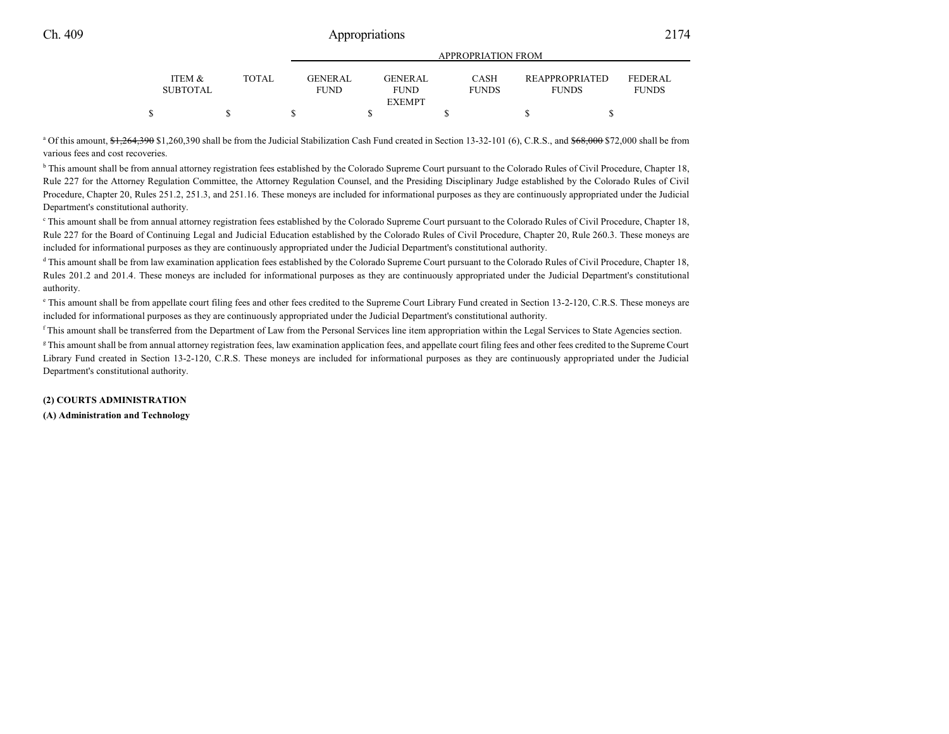|                                      |              |                          | <b>APPROPRIATION FROM</b>                      |                             |                                       |                          |  |  |  |  |  |
|--------------------------------------|--------------|--------------------------|------------------------------------------------|-----------------------------|---------------------------------------|--------------------------|--|--|--|--|--|
| <b>ITEM &amp;</b><br><b>SUBTOTAL</b> | <b>TOTAL</b> | GENER AL.<br><b>FUND</b> | <b>GENERAL</b><br><b>FUND</b><br><b>EXEMPT</b> | <b>CASH</b><br><b>FUNDS</b> | <b>REAPPROPRIATED</b><br><b>FUNDS</b> | FEDERAL.<br><b>FUNDS</b> |  |  |  |  |  |
|                                      |              |                          |                                                |                             |                                       |                          |  |  |  |  |  |
|                                      |              |                          |                                                |                             |                                       |                          |  |  |  |  |  |

<sup>a</sup> Of this amount, \$1,264,390 \$1,260,390 shall be from the Judicial Stabilization Cash Fund created in Section 13-32-101 (6), C.R.S., and \$68,000 \$72,000 shall be from various fees and cost recoveries.

<sup>b</sup> This amount shall be from annual attorney registration fees established by the Colorado Supreme Court pursuant to the Colorado Rules of Civil Procedure, Chapter 18, Rule 227 for the Attorney Regulation Committee, the Attorney Regulation Counsel, and the Presiding Disciplinary Judge established by the Colorado Rules of Civil Procedure, Chapter 20, Rules 251.2, 251.3, and 251.16. These moneys are included for informational purposes as they are continuously appropriated under the Judicial Department's constitutional authority.

<sup>c</sup> This amount shall be from annual attorney registration fees established by the Colorado Supreme Court pursuant to the Colorado Rules of Civil Procedure, Chapter 18, Rule 227 for the Board of Continuing Legal and Judicial Education established by the Colorado Rules of Civil Procedure, Chapter 20, Rule 260.3. These moneys are included for informational purposes as they are continuously appropriated under the Judicial Department's constitutional authority.

<sup>d</sup> This amount shall be from law examination application fees established by the Colorado Supreme Court pursuant to the Colorado Rules of Civil Procedure, Chapter 18, Rules 201.2 and 201.4. These moneys are included for informational purposes as they are continuously appropriated under the Judicial Department's constitutional authority.

<sup>e</sup> This amount shall be from appellate court filing fees and other fees credited to the Supreme Court Library Fund created in Section 13-2-120, C.R.S. These moneys are included for informational purposes as they are continuously appropriated under the Judicial Department's constitutional authority.

f This amount shall be transferred from the Department of Law from the Personal Services line item appropriation within the Legal Services to State Agencies section.

<sup>g</sup> This amount shall be from annual attorney registration fees, law examination application fees, and appellate court filing fees and other fees credited to the Supreme Court Library Fund created in Section 13-2-120, C.R.S. These moneys are included for informational purposes as they are continuously appropriated under the Judicial Department's constitutional authority.

## **(2) COURTS ADMINISTRATION**

## **(A) Administration and Technology**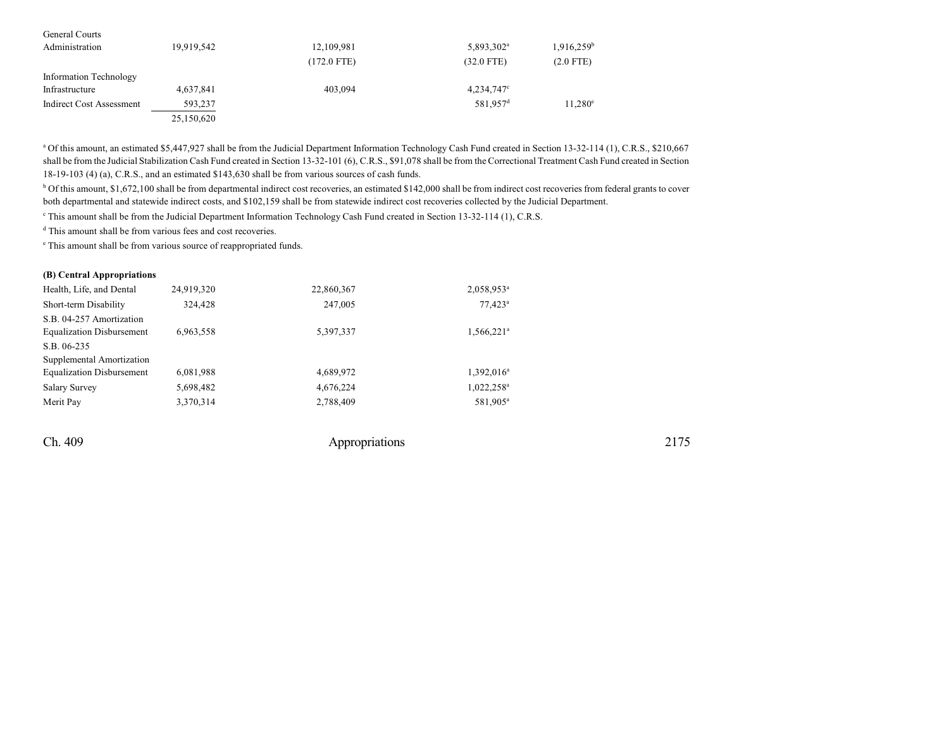| General Courts           |            |               |                        |                        |
|--------------------------|------------|---------------|------------------------|------------------------|
| Administration           | 19,919,542 | 12,109,981    | 5,893,302 <sup>a</sup> | 1,916,259 <sup>b</sup> |
|                          |            | $(172.0$ FTE) | $(32.0$ FTE)           | $(2.0$ FTE)            |
| Information Technology   |            |               |                        |                        |
| Infrastructure           | 4,637,841  | 403,094       | $4,234,747^{\circ}$    |                        |
| Indirect Cost Assessment | 593,237    |               | 581.957 <sup>d</sup>   | $11.280^{\circ}$       |
|                          | 25,150,620 |               |                        |                        |

<sup>a</sup> Of this amount, an estimated \$5,447,927 shall be from the Judicial Department Information Technology Cash Fund created in Section 13-32-114 (1), C.R.S., \$210,667 shall be from the Judicial Stabilization Cash Fund created in Section 13-32-101 (6), C.R.S., \$91,078 shall be from the Correctional Treatment Cash Fund created in Section 18-19-103 (4) (a), C.R.S., and an estimated \$143,630 shall be from various sources of cash funds.

<sup>b</sup> Of this amount, \$1,672,100 shall be from departmental indirect cost recoveries, an estimated \$142,000 shall be from indirect cost recoveries from federal grants to cover both departmental and statewide indirect costs, and \$102,159 shall be from statewide indirect cost recoveries collected by the Judicial Department.

This amount shall be from the Judicial Department Information Technology Cash Fund created in Section 13-32-114 (1), C.R.S.

d This amount shall be from various fees and cost recoveries.

e This amount shall be from various source of reappropriated funds.

## **(B) Central Appropriations**

| Health, Life, and Dental         | 24,919,320 | 22,860,367 | 2,058,953 <sup>a</sup>   |
|----------------------------------|------------|------------|--------------------------|
| Short-term Disability            | 324,428    | 247,005    | $77.423$ <sup>a</sup>    |
| S.B. 04-257 Amortization         |            |            |                          |
| <b>Equalization Disbursement</b> | 6,963,558  | 5,397,337  | $1,566,221$ <sup>a</sup> |
| S.B. 06-235                      |            |            |                          |
| Supplemental Amortization        |            |            |                          |
| <b>Equalization Disbursement</b> | 6,081,988  | 4,689,972  | $1,392,016^a$            |
| <b>Salary Survey</b>             | 5,698,482  | 4,676,224  | $1,022,258^a$            |
| Merit Pay                        | 3,370,314  | 2,788,409  | 581,905 <sup>a</sup>     |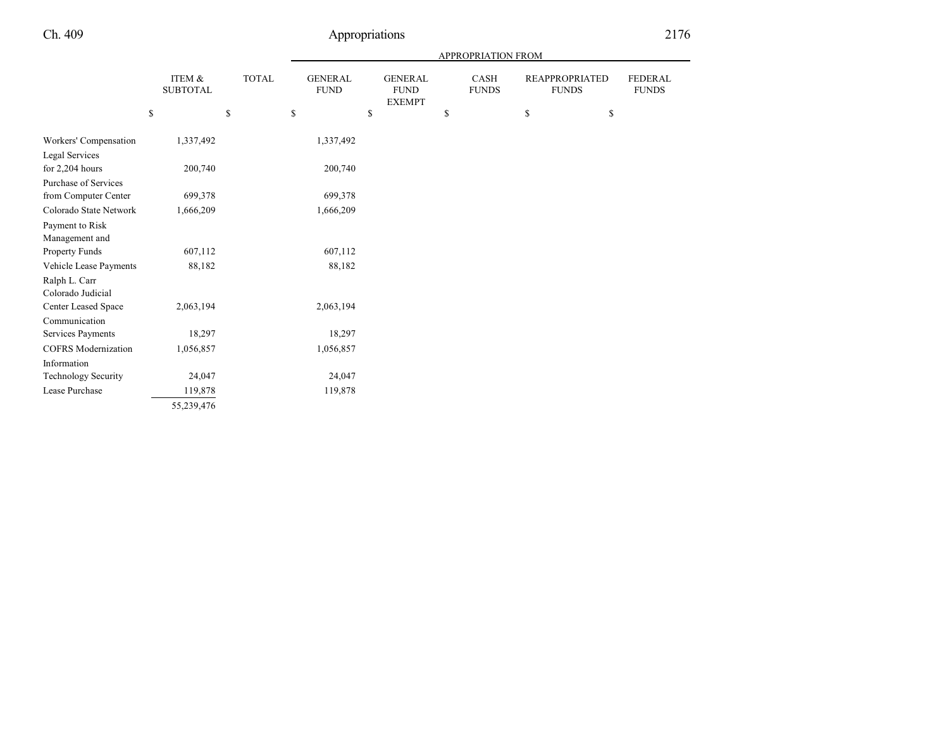|  |  | c      |
|--|--|--------|
|  |  | ر<br>∠ |
|  |  |        |

|                            |                           |              | APPROPRIATION FROM            |                                                |    |                      |    |                                       |                                |  |
|----------------------------|---------------------------|--------------|-------------------------------|------------------------------------------------|----|----------------------|----|---------------------------------------|--------------------------------|--|
|                            | ITEM &<br><b>SUBTOTAL</b> | <b>TOTAL</b> | <b>GENERAL</b><br><b>FUND</b> | <b>GENERAL</b><br><b>FUND</b><br><b>EXEMPT</b> |    | CASH<br><b>FUNDS</b> |    | <b>REAPPROPRIATED</b><br><b>FUNDS</b> | <b>FEDERAL</b><br><b>FUNDS</b> |  |
|                            | \$                        | \$           | \$                            | \$                                             | \$ |                      | \$ | \$                                    |                                |  |
| Workers' Compensation      | 1,337,492                 |              | 1,337,492                     |                                                |    |                      |    |                                       |                                |  |
| <b>Legal Services</b>      |                           |              |                               |                                                |    |                      |    |                                       |                                |  |
| for 2,204 hours            | 200,740                   |              | 200,740                       |                                                |    |                      |    |                                       |                                |  |
| Purchase of Services       |                           |              |                               |                                                |    |                      |    |                                       |                                |  |
| from Computer Center       | 699,378                   |              | 699,378                       |                                                |    |                      |    |                                       |                                |  |
| Colorado State Network     | 1,666,209                 |              | 1,666,209                     |                                                |    |                      |    |                                       |                                |  |
| Payment to Risk            |                           |              |                               |                                                |    |                      |    |                                       |                                |  |
| Management and             |                           |              |                               |                                                |    |                      |    |                                       |                                |  |
| Property Funds             | 607,112                   |              | 607,112                       |                                                |    |                      |    |                                       |                                |  |
| Vehicle Lease Payments     | 88,182                    |              | 88,182                        |                                                |    |                      |    |                                       |                                |  |
| Ralph L. Carr              |                           |              |                               |                                                |    |                      |    |                                       |                                |  |
| Colorado Judicial          |                           |              |                               |                                                |    |                      |    |                                       |                                |  |
| Center Leased Space        | 2,063,194                 |              | 2,063,194                     |                                                |    |                      |    |                                       |                                |  |
| Communication              |                           |              |                               |                                                |    |                      |    |                                       |                                |  |
| Services Payments          | 18,297                    |              | 18,297                        |                                                |    |                      |    |                                       |                                |  |
| <b>COFRS</b> Modernization | 1,056,857                 |              | 1,056,857                     |                                                |    |                      |    |                                       |                                |  |
| Information                |                           |              |                               |                                                |    |                      |    |                                       |                                |  |
| <b>Technology Security</b> | 24,047                    |              | 24,047                        |                                                |    |                      |    |                                       |                                |  |
| Lease Purchase             | 119,878                   |              | 119,878                       |                                                |    |                      |    |                                       |                                |  |
|                            | 55,239,476                |              |                               |                                                |    |                      |    |                                       |                                |  |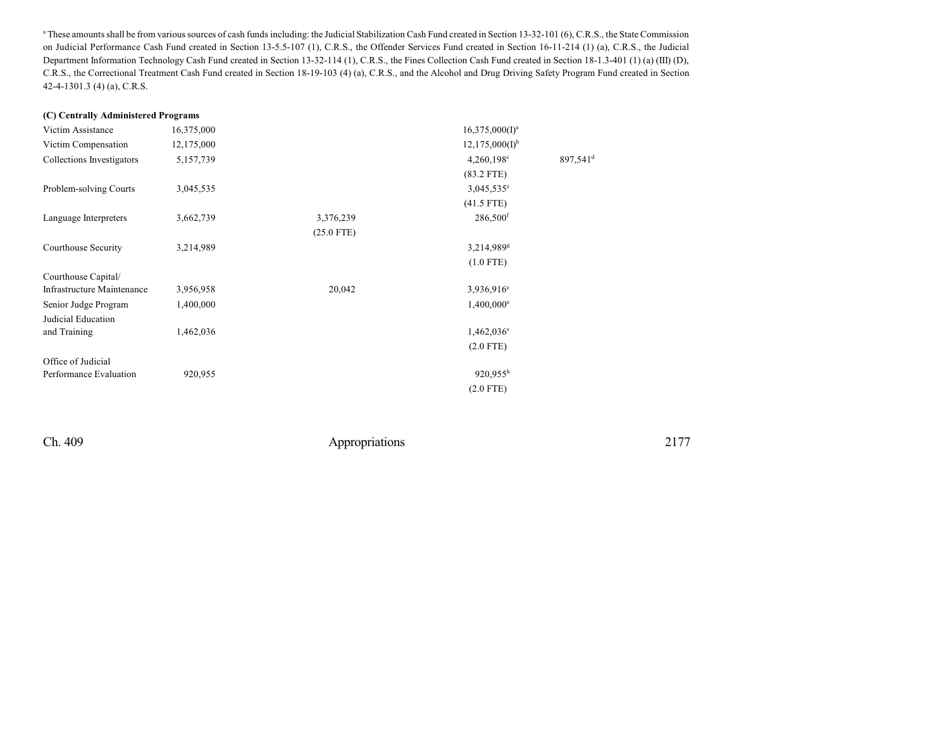<sup>a</sup> These amounts shall be from various sources of cash funds including: the Judicial Stabilization Cash Fund created in Section 13-32-101 (6), C.R.S., the State Commission on Judicial Performance Cash Fund created in Section 13-5.5-107 (1), C.R.S., the Offender Services Fund created in Section 16-11-214 (1) (a), C.R.S., the Judicial Department Information Technology Cash Fund created in Section 13-32-114 (1), C.R.S., the Fines Collection Cash Fund created in Section 18-1.3-401 (1) (a) (III) (D), C.R.S., the Correctional Treatment Cash Fund created in Section 18-19-103 (4) (a), C.R.S., and the Alcohol and Drug Driving Safety Program Fund created in Section 42-4-1301.3 (4) (a), C.R.S.

#### **(C) Centrally Administered Programs**

| Victim Assistance          | 16,375,000 |              | $16,375,000(I)^a$        |                      |
|----------------------------|------------|--------------|--------------------------|----------------------|
| Victim Compensation        | 12,175,000 |              | $12,175,000(I)^{b}$      |                      |
| Collections Investigators  | 5,157,739  |              | $4,260,198$ <sup>c</sup> | 897,541 <sup>d</sup> |
|                            |            |              | $(83.2$ FTE)             |                      |
| Problem-solving Courts     | 3,045,535  |              | $3,045,535^e$            |                      |
|                            |            |              | $(41.5$ FTE)             |                      |
| Language Interpreters      | 3,662,739  | 3,376,239    | 286,500 <sup>f</sup>     |                      |
|                            |            | $(25.0$ FTE) |                          |                      |
| Courthouse Security        | 3,214,989  |              | $3,214,989$ <sup>g</sup> |                      |
|                            |            |              | $(1.0$ FTE)              |                      |
| Courthouse Capital/        |            |              |                          |                      |
| Infrastructure Maintenance | 3,956,958  | 20,042       | 3,936,916 <sup>e</sup>   |                      |
| Senior Judge Program       | 1,400,000  |              | $1,400,000$ <sup>e</sup> |                      |
| Judicial Education         |            |              |                          |                      |
| and Training               | 1,462,036  |              | $1,462,036$ <sup>e</sup> |                      |
|                            |            |              | $(2.0$ FTE)              |                      |
| Office of Judicial         |            |              |                          |                      |
| Performance Evaluation     | 920,955    |              | $920,955^h$              |                      |
|                            |            |              | $(2.0$ FTE)              |                      |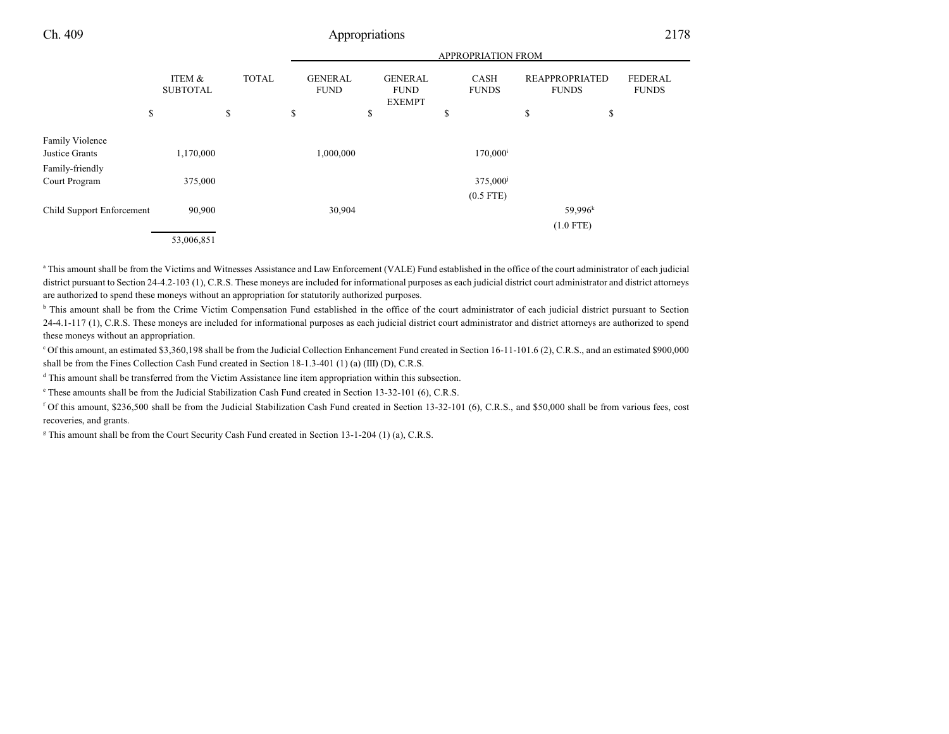|                           |                           |              |                               |                                                | APPROPRIATION FROM          |                                       |                                |
|---------------------------|---------------------------|--------------|-------------------------------|------------------------------------------------|-----------------------------|---------------------------------------|--------------------------------|
|                           | ITEM &<br><b>SUBTOTAL</b> | <b>TOTAL</b> | <b>GENERAL</b><br><b>FUND</b> | <b>GENERAL</b><br><b>FUND</b><br><b>EXEMPT</b> | <b>CASH</b><br><b>FUNDS</b> | <b>REAPPROPRIATED</b><br><b>FUNDS</b> | <b>FEDERAL</b><br><b>FUNDS</b> |
| \$                        |                           | \$           | \$                            | \$                                             | \$                          | \$                                    | \$                             |
| Family Violence           |                           |              |                               |                                                |                             |                                       |                                |
| Justice Grants            | 1,170,000                 |              | 1,000,000                     |                                                | $170,000^{\rm i}$           |                                       |                                |
| Family-friendly           |                           |              |                               |                                                |                             |                                       |                                |
| Court Program             | 375,000                   |              |                               |                                                | 375,000 <sup>j</sup>        |                                       |                                |
|                           |                           |              |                               |                                                | $(0.5$ FTE)                 |                                       |                                |
| Child Support Enforcement | 90,900                    |              | 30,904                        |                                                |                             | $59,996^k$                            |                                |
|                           |                           |              |                               |                                                |                             | $(1.0$ FTE)                           |                                |
|                           | 53,006,851                |              |                               |                                                |                             |                                       |                                |

<sup>a</sup> This amount shall be from the Victims and Witnesses Assistance and Law Enforcement (VALE) Fund established in the office of the court administrator of each judicial district pursuant to Section 24-4.2-103 (1), C.R.S. These moneys are included for informational purposes as each judicial district court administrator and district attorneys are authorized to spend these moneys without an appropriation for statutorily authorized purposes.

<sup>b</sup> This amount shall be from the Crime Victim Compensation Fund established in the office of the court administrator of each judicial district pursuant to Section 24-4.1-117 (1), C.R.S. These moneys are included for informational purposes as each judicial district court administrator and district attorneys are authorized to spend these moneys without an appropriation.

<sup>c</sup> Of this amount, an estimated \$3,360,198 shall be from the Judicial Collection Enhancement Fund created in Section 16-11-101.6 (2), C.R.S., and an estimated \$900,000 shall be from the Fines Collection Cash Fund created in Section 18-1.3-401 (1) (a) (III) (D), C.R.S.

d This amount shall be transferred from the Victim Assistance line item appropriation within this subsection.

e These amounts shall be from the Judicial Stabilization Cash Fund created in Section 13-32-101 (6), C.R.S.

<sup>f</sup> Of this amount, \$236,500 shall be from the Judicial Stabilization Cash Fund created in Section 13-32-101 (6), C.R.S., and \$50,000 shall be from various fees, cost recoveries, and grants.

g This amount shall be from the Court Security Cash Fund created in Section 13-1-204 (1) (a), C.R.S.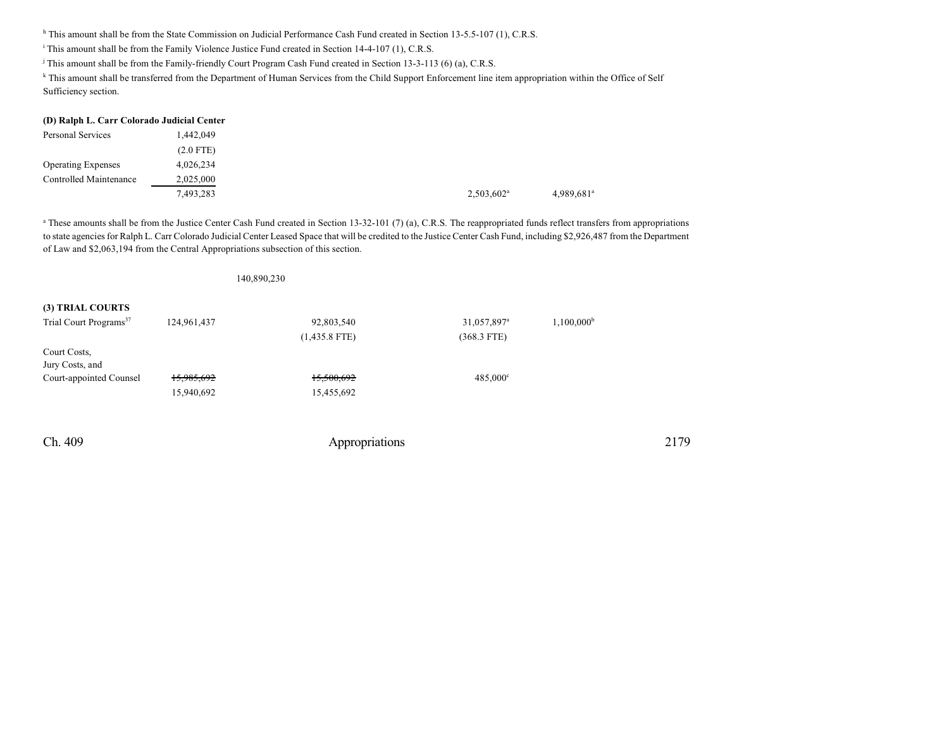<sup>h</sup> This amount shall be from the State Commission on Judicial Performance Cash Fund created in Section 13-5.5-107 (1), C.R.S.

i This amount shall be from the Family Violence Justice Fund created in Section 14-4-107 (1), C.R.S.

j This amount shall be from the Family-friendly Court Program Cash Fund created in Section 13-3-113 (6) (a), C.R.S.

140,890,230

k This amount shall be transferred from the Department of Human Services from the Child Support Enforcement line item appropriation within the Office of Self Sufficiency section.

|                           | (D) Ralph L. Carr Colorado Judicial Center |                     |
|---------------------------|--------------------------------------------|---------------------|
| Personal Services         | 1,442,049                                  |                     |
|                           | $(2.0$ FTE)                                |                     |
| <b>Operating Expenses</b> | 4,026,234                                  |                     |
| Controlled Maintenance    | 2,025,000                                  |                     |
|                           | 7.493,283                                  | $2,503,602^{\rm a}$ |

<sup>a</sup> These amounts shall be from the Justice Center Cash Fund created in Section 13-32-101 (7) (a), C.R.S. The reappropriated funds reflect transfers from appropriations to state agencies for Ralph L. Carr Colorado Judicial Center Leased Space that will be credited to the Justice Center Cash Fund, including \$2,926,487 from the Department of Law and \$2,063,194 from the Central Appropriations subsection of this section.

| (3) TRIAL COURTS                   |             |                 |                         |                     |
|------------------------------------|-------------|-----------------|-------------------------|---------------------|
|                                    |             |                 |                         |                     |
| Trial Court Programs <sup>37</sup> | 124,961,437 | 92,803,540      | 31,057,897 <sup>a</sup> | $1,100,000^{\rm b}$ |
|                                    |             | $(1,435.8$ FTE) | $(368.3$ FTE)           |                     |
| Court Costs,                       |             |                 |                         |                     |
| Jury Costs, and                    |             |                 |                         |                     |
| Court-appointed Counsel            | 15,985,692  | 15,500,692      | $485,000^{\circ}$       |                     |
|                                    | 15,940,692  | 15,455,692      |                         |                     |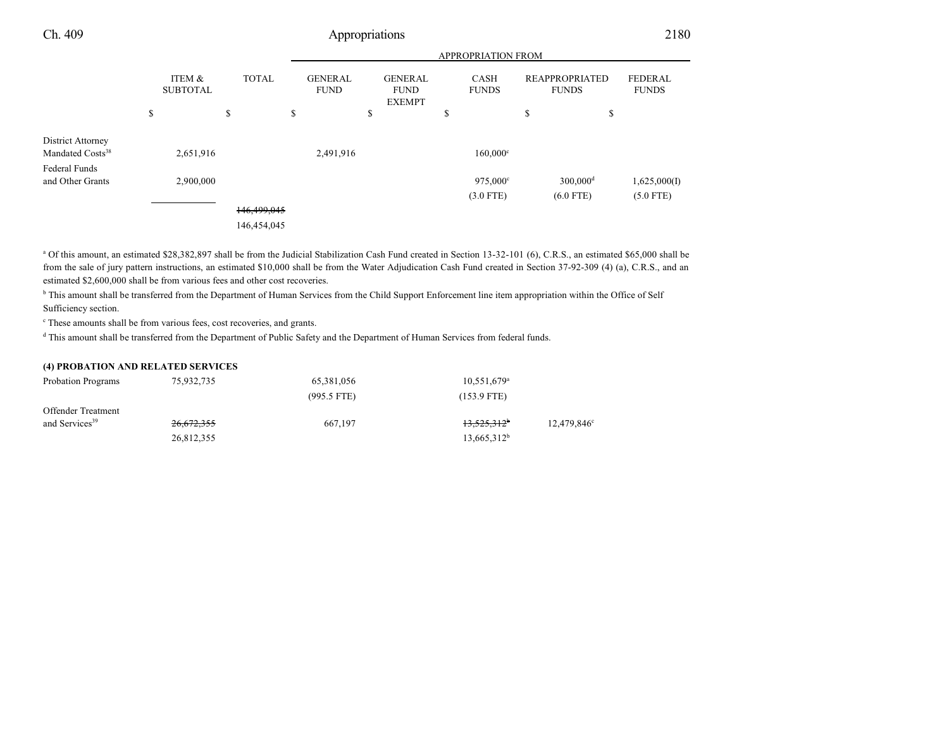|                                                   | <b>APPROPRIATION FROM</b> |    |              |    |                               |    |                                                |                      |                                       |                                |
|---------------------------------------------------|---------------------------|----|--------------|----|-------------------------------|----|------------------------------------------------|----------------------|---------------------------------------|--------------------------------|
|                                                   | ITEM &<br><b>SUBTOTAL</b> |    | <b>TOTAL</b> |    | <b>GENERAL</b><br><b>FUND</b> |    | <b>GENERAL</b><br><b>FUND</b><br><b>EXEMPT</b> | CASH<br><b>FUNDS</b> | <b>REAPPROPRIATED</b><br><b>FUNDS</b> | <b>FEDERAL</b><br><b>FUNDS</b> |
|                                                   | \$                        | \$ |              | \$ |                               | \$ |                                                | \$                   | \$<br>\$                              |                                |
| District Attorney<br>Mandated Costs <sup>38</sup> | 2,651,916                 |    |              |    | 2,491,916                     |    |                                                | $160,000^{\circ}$    |                                       |                                |
| Federal Funds                                     |                           |    |              |    |                               |    |                                                |                      |                                       |                                |
| and Other Grants                                  | 2,900,000                 |    |              |    |                               |    |                                                | 975,000°             | $300,000$ <sup>d</sup>                | 1,625,000(I)                   |
|                                                   |                           |    |              |    |                               |    |                                                | $(3.0$ FTE)          | $(6.0$ FTE)                           | $(5.0$ FTE)                    |
|                                                   |                           |    | 146,499,045  |    |                               |    |                                                |                      |                                       |                                |
|                                                   |                           |    | 146,454,045  |    |                               |    |                                                |                      |                                       |                                |

<sup>a</sup> Of this amount, an estimated \$28,382,897 shall be from the Judicial Stabilization Cash Fund created in Section 13-32-101 (6), C.R.S., an estimated \$65,000 shall be from the sale of jury pattern instructions, an estimated \$10,000 shall be from the Water Adjudication Cash Fund created in Section 37-92-309 (4) (a), C.R.S., and an estimated \$2,600,000 shall be from various fees and other cost recoveries.

<sup>b</sup> This amount shall be transferred from the Department of Human Services from the Child Support Enforcement line item appropriation within the Office of Self Sufficiency section.

c These amounts shall be from various fees, cost recoveries, and grants.

d This amount shall be transferred from the Department of Public Safety and the Department of Human Services from federal funds.

## **(4) PROBATION AND RELATED SERVICES**

| <b>Probation Programs</b>  | 75,932,735 | 65,381,056    | $10.551.679^{\circ}$    |                         |
|----------------------------|------------|---------------|-------------------------|-------------------------|
|                            |            | $(995.5$ FTE) | (153.9 FTE)             |                         |
| <b>Offender Treatment</b>  |            |               |                         |                         |
| and Services <sup>39</sup> | 26,672,355 | 667.197       | 13,525,312 <sup>b</sup> | 12,479,846 <sup>c</sup> |
|                            | 26,812,355 |               | $13,665,312^b$          |                         |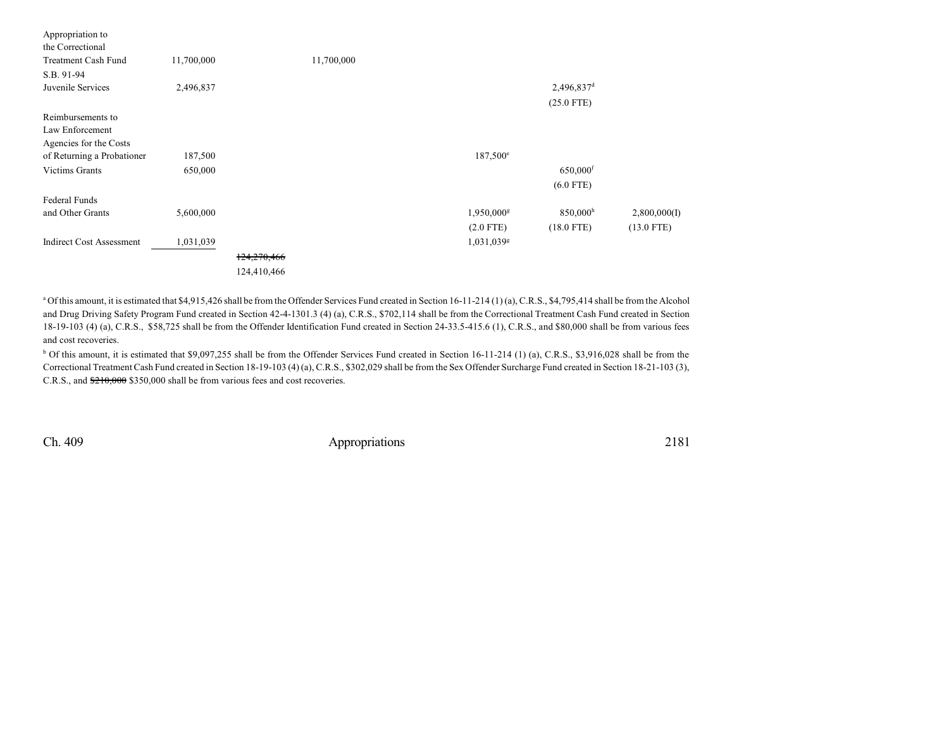| Appropriation to                |            |             |            |                        |                        |              |
|---------------------------------|------------|-------------|------------|------------------------|------------------------|--------------|
| the Correctional                |            |             |            |                        |                        |              |
| <b>Treatment Cash Fund</b>      | 11,700,000 |             | 11,700,000 |                        |                        |              |
| S.B. 91-94                      |            |             |            |                        |                        |              |
| Juvenile Services               | 2,496,837  |             |            |                        | 2,496,837 <sup>d</sup> |              |
|                                 |            |             |            |                        | $(25.0$ FTE)           |              |
| Reimbursements to               |            |             |            |                        |                        |              |
| Law Enforcement                 |            |             |            |                        |                        |              |
| Agencies for the Costs          |            |             |            |                        |                        |              |
| of Returning a Probationer      | 187,500    |             |            | 187,500 <sup>e</sup>   |                        |              |
| <b>Victims Grants</b>           | 650,000    |             |            |                        | 650,000 <sup>f</sup>   |              |
|                                 |            |             |            |                        | $(6.0$ FTE)            |              |
| <b>Federal Funds</b>            |            |             |            |                        |                        |              |
| and Other Grants                | 5,600,000  |             |            | 1,950,000 <sup>g</sup> | $850,000$ <sup>h</sup> | 2,800,000(I) |
|                                 |            |             |            | $(2.0$ FTE)            | $(18.0$ FTE)           | $(13.0$ FTE) |
| <b>Indirect Cost Assessment</b> | 1,031,039  |             |            | 1,031,039g             |                        |              |
|                                 |            | 124,270,466 |            |                        |                        |              |
|                                 |            | 124,410,466 |            |                        |                        |              |

<sup>a</sup> Of this amount, it is estimated that \$4,915,426 shall be from the Offender Services Fund created in Section 16-11-214 (1) (a), C.R.S., \$4,795,414 shall be from the Alcohol and Drug Driving Safety Program Fund created in Section 42-4-1301.3 (4) (a), C.R.S., \$702,114 shall be from the Correctional Treatment Cash Fund created in Section 18-19-103 (4) (a), C.R.S., \$58,725 shall be from the Offender Identification Fund created in Section 24-33.5-415.6 (1), C.R.S., and \$80,000 shall be from various fees and cost recoveries.

<sup>b</sup> Of this amount, it is estimated that \$9,097,255 shall be from the Offender Services Fund created in Section 16-11-214 (1) (a), C.R.S., \$3,916,028 shall be from the Correctional Treatment Cash Fund created in Section 18-19-103 (4) (a), C.R.S., \$302,029 shall be from the Sex Offender Surcharge Fund created in Section 18-21-103 (3), C.R.S., and \$210,000 \$350,000 shall be from various fees and cost recoveries.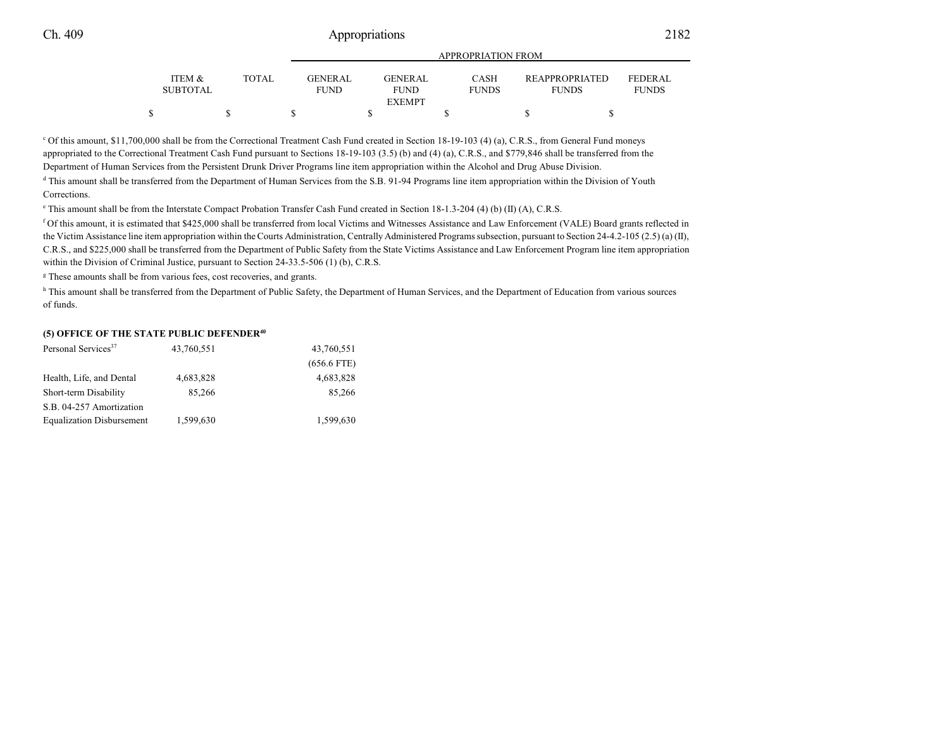|                           |       |                                | APPROPRIATION FROM                             |                             |                                       |                                |
|---------------------------|-------|--------------------------------|------------------------------------------------|-----------------------------|---------------------------------------|--------------------------------|
| ITEM &<br><b>SUBTOTAL</b> | TOTAL | <b>GENER AL</b><br><b>FUND</b> | <b>GENERAL</b><br><b>FUND</b><br><b>EXEMPT</b> | <b>CASH</b><br><b>FUNDS</b> | <b>REAPPROPRIATED</b><br><b>FUNDS</b> | <b>FEDERAL</b><br><b>FUNDS</b> |
|                           |       |                                |                                                |                             |                                       |                                |

<sup>c</sup> Of this amount, \$11,700,000 shall be from the Correctional Treatment Cash Fund created in Section 18-19-103 (4) (a), C.R.S., from General Fund moneys appropriated to the Correctional Treatment Cash Fund pursuant to Sections 18-19-103 (3.5) (b) and (4) (a), C.R.S., and \$779,846 shall be transferred from the Department of Human Services from the Persistent Drunk Driver Programs line item appropriation within the Alcohol and Drug Abuse Division.

d This amount shall be transferred from the Department of Human Services from the S.B. 91-94 Programs line item appropriation within the Division of Youth Corrections.

e This amount shall be from the Interstate Compact Probation Transfer Cash Fund created in Section 18-1.3-204 (4) (b) (II) (A), C.R.S.

<sup>f</sup> Of this amount, it is estimated that \$425,000 shall be transferred from local Victims and Witnesses Assistance and Law Enforcement (VALE) Board grants reflected in the Victim Assistance line item appropriation within the Courts Administration, Centrally Administered Programs subsection, pursuant to Section 24-4.2-105 (2.5) (a) (II), C.R.S., and \$225,000 shall be transferred from the Department of Public Safety from the State Victims Assistance and Law Enforcement Program line item appropriation within the Division of Criminal Justice, pursuant to Section 24-33.5-506 (1) (b), C.R.S.

<sup>g</sup> These amounts shall be from various fees, cost recoveries, and grants.

<sup>h</sup> This amount shall be transferred from the Department of Public Safety, the Department of Human Services, and the Department of Education from various sources of funds.

## **(5) OFFICE OF THE STATE PUBLIC DEFENDER 40**

| Personal Services <sup>37</sup>  | 43,760,551 | 43,760,551    |  |  |
|----------------------------------|------------|---------------|--|--|
|                                  |            | $(656.6$ FTE) |  |  |
| Health, Life, and Dental         | 4,683,828  | 4,683,828     |  |  |
| Short-term Disability            | 85.266     | 85,266        |  |  |
| S.B. 04-257 Amortization         |            |               |  |  |
| <b>Equalization Disbursement</b> | 1,599,630  | 1,599,630     |  |  |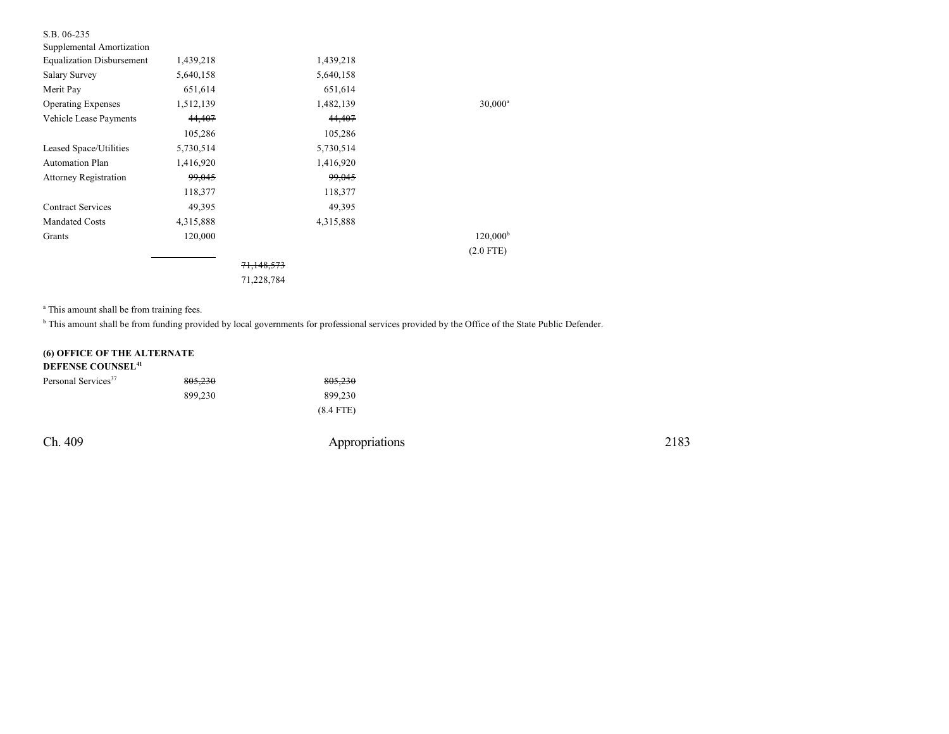| S.B. 06-235                      |           |                       |           |                   |
|----------------------------------|-----------|-----------------------|-----------|-------------------|
| Supplemental Amortization        |           |                       |           |                   |
| <b>Equalization Disbursement</b> | 1,439,218 |                       | 1,439,218 |                   |
| <b>Salary Survey</b>             | 5,640,158 |                       | 5,640,158 |                   |
| Merit Pay                        | 651,614   |                       | 651,614   |                   |
| <b>Operating Expenses</b>        | 1,512,139 |                       | 1,482,139 | $30,000^a$        |
| Vehicle Lease Payments           | 44,407    |                       | 44,407    |                   |
|                                  | 105,286   |                       | 105,286   |                   |
| Leased Space/Utilities           | 5,730,514 |                       | 5,730,514 |                   |
| <b>Automation Plan</b>           | 1,416,920 |                       | 1,416,920 |                   |
| <b>Attorney Registration</b>     | 99,045    |                       | 99,045    |                   |
|                                  | 118,377   |                       | 118,377   |                   |
| <b>Contract Services</b>         | 49,395    |                       | 49,395    |                   |
| <b>Mandated Costs</b>            | 4,315,888 |                       | 4,315,888 |                   |
| Grants                           | 120,000   |                       |           | $120,000^{\rm b}$ |
|                                  |           |                       |           | $(2.0$ FTE)       |
|                                  |           | <del>71,148,573</del> |           |                   |
|                                  |           | 71,228,784            |           |                   |

<sup>a</sup> This amount shall be from training fees.

<sup>b</sup> This amount shall be from funding provided by local governments for professional services provided by the Office of the State Public Defender.

## **(6) OFFICE OF THE ALTERNATE DEFENSE COUNSEL 41**

| Personal Services <sup>37</sup> | 805,230 | 805,230     |
|---------------------------------|---------|-------------|
|                                 | 899.230 | 899.230     |
|                                 |         | $(8.4$ FTE) |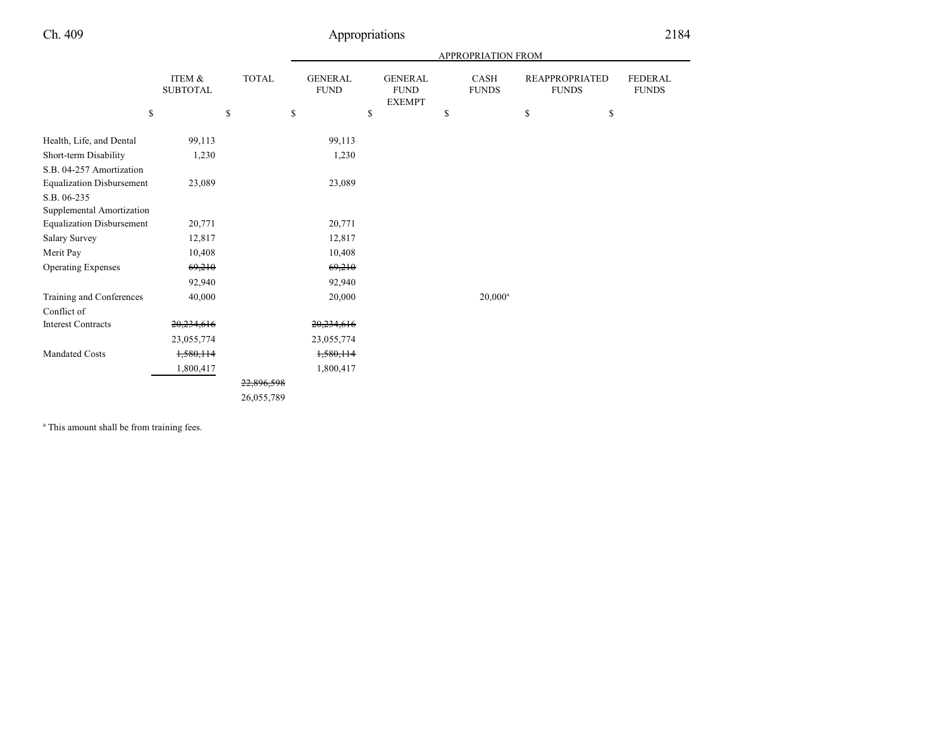|                                  |                           |            | APPROPRIATION FROM            |    |                                                |    |                             |                                       |                                |
|----------------------------------|---------------------------|------------|-------------------------------|----|------------------------------------------------|----|-----------------------------|---------------------------------------|--------------------------------|
|                                  | ITEM &<br><b>SUBTOTAL</b> | TOTAL      | <b>GENERAL</b><br><b>FUND</b> |    | <b>GENERAL</b><br><b>FUND</b><br><b>EXEMPT</b> |    | <b>CASH</b><br><b>FUNDS</b> | <b>REAPPROPRIATED</b><br><b>FUNDS</b> | <b>FEDERAL</b><br><b>FUNDS</b> |
| \$                               |                           | \$         | \$                            | \$ |                                                | \$ |                             | \$<br>\$                              |                                |
| Health, Life, and Dental         | 99,113                    |            | 99,113                        |    |                                                |    |                             |                                       |                                |
| Short-term Disability            | 1,230                     |            | 1,230                         |    |                                                |    |                             |                                       |                                |
| S.B. 04-257 Amortization         |                           |            |                               |    |                                                |    |                             |                                       |                                |
| <b>Equalization Disbursement</b> | 23,089                    |            | 23,089                        |    |                                                |    |                             |                                       |                                |
| S.B. 06-235                      |                           |            |                               |    |                                                |    |                             |                                       |                                |
| Supplemental Amortization        |                           |            |                               |    |                                                |    |                             |                                       |                                |
| <b>Equalization Disbursement</b> | 20,771                    |            | 20,771                        |    |                                                |    |                             |                                       |                                |
| <b>Salary Survey</b>             | 12,817                    |            | 12,817                        |    |                                                |    |                             |                                       |                                |
| Merit Pay                        | 10,408                    |            | 10,408                        |    |                                                |    |                             |                                       |                                |
| <b>Operating Expenses</b>        | 69,210                    |            | 69,210                        |    |                                                |    |                             |                                       |                                |
|                                  | 92,940                    |            | 92,940                        |    |                                                |    |                             |                                       |                                |
| Training and Conferences         | 40,000                    |            | 20,000                        |    |                                                |    | $20,000^a$                  |                                       |                                |
| Conflict of                      |                           |            |                               |    |                                                |    |                             |                                       |                                |
| <b>Interest Contracts</b>        | 20,234,616                |            | 20,234,616                    |    |                                                |    |                             |                                       |                                |
|                                  | 23,055,774                |            | 23,055,774                    |    |                                                |    |                             |                                       |                                |
| <b>Mandated Costs</b>            | 1,580,114                 |            | 1,580,114                     |    |                                                |    |                             |                                       |                                |
|                                  | 1,800,417                 |            | 1,800,417                     |    |                                                |    |                             |                                       |                                |
|                                  |                           | 22,896,598 |                               |    |                                                |    |                             |                                       |                                |
|                                  |                           | 26,055,789 |                               |    |                                                |    |                             |                                       |                                |

<sup>a</sup> This amount shall be from training fees.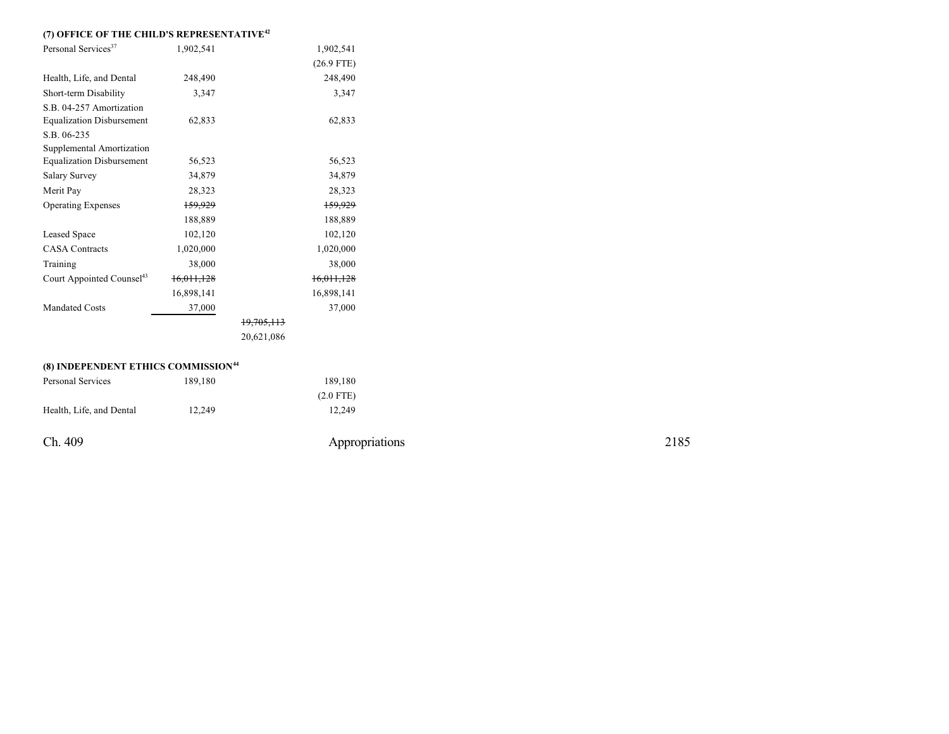## **(7) OFFICE OF THE CHILD'S REPRESENTATIVE 4 2**

| Personal Services <sup>37</sup>       | 1,902,541  |            | 1,902,541    |
|---------------------------------------|------------|------------|--------------|
|                                       |            |            | $(26.9$ FTE) |
| Health, Life, and Dental              | 248,490    |            | 248,490      |
| Short-term Disability                 | 3,347      |            | 3,347        |
| S.B. 04-257 Amortization              |            |            |              |
| <b>Equalization Disbursement</b>      | 62,833     |            | 62,833       |
| S.B. 06-235                           |            |            |              |
| Supplemental Amortization             |            |            |              |
| <b>Equalization Disbursement</b>      | 56,523     |            | 56,523       |
| <b>Salary Survey</b>                  | 34,879     |            | 34,879       |
| Merit Pay                             | 28,323     |            | 28,323       |
| <b>Operating Expenses</b>             | 159.929    |            | 159,929      |
|                                       | 188,889    |            | 188,889      |
| Leased Space                          | 102,120    |            | 102,120      |
| <b>CASA Contracts</b>                 | 1,020,000  |            | 1,020,000    |
| Training                              | 38,000     |            | 38,000       |
| Court Appointed Counsel <sup>43</sup> | 16,011,128 |            | 16,011,128   |
|                                       | 16,898,141 |            | 16,898,141   |
| <b>Mandated Costs</b>                 | 37,000     |            | 37,000       |
|                                       |            | 19,705,113 |              |
|                                       |            | 20,621,086 |              |
|                                       |            |            |              |

| (8) INDEPENDENT ETHICS COMMISSION <sup>44</sup> |         |  |  |  |  |
|-------------------------------------------------|---------|--|--|--|--|
| Personal Services                               | 189.180 |  |  |  |  |
|                                                 |         |  |  |  |  |
| Health, Life, and Dental                        | 12.249  |  |  |  |  |

Ch. 409

Appropriations

1 8 9,1 8 0 (2.0 F TE)

1 2,2 4 9

2 1 8 5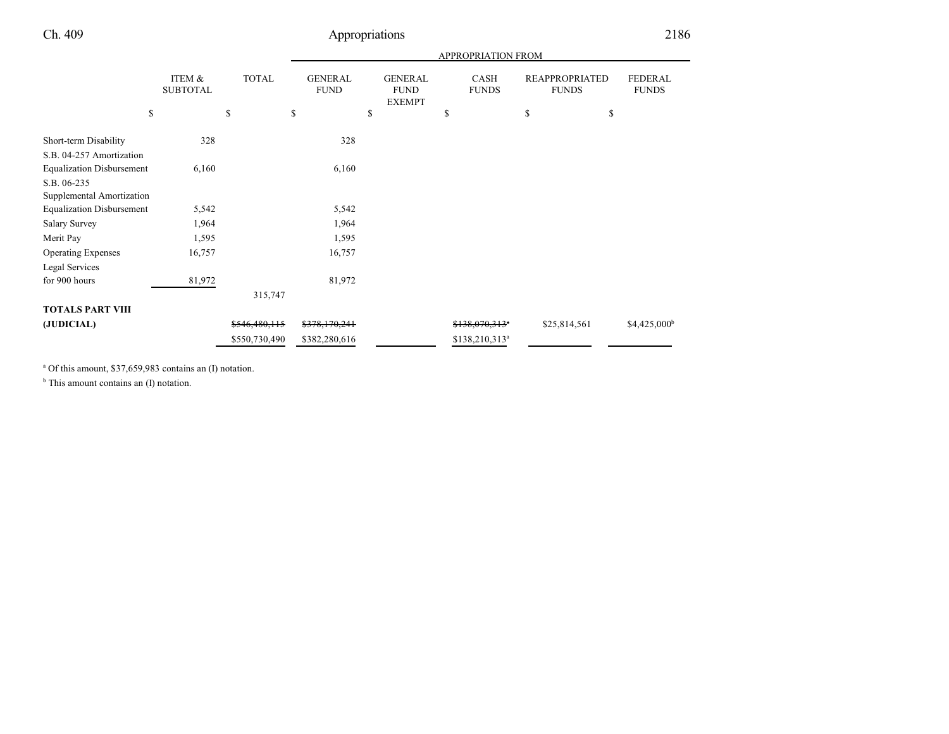|                                  | ITEM &<br><b>SUBTOTAL</b> | <b>TOTAL</b>  | <b>GENERAL</b><br><b>FUND</b> | <b>GENERAL</b><br><b>FUND</b><br><b>EXEMPT</b> | CASH<br><b>FUNDS</b>       | <b>REAPPROPRIATED</b><br><b>FUNDS</b> | <b>FEDERAL</b><br><b>FUNDS</b> |
|----------------------------------|---------------------------|---------------|-------------------------------|------------------------------------------------|----------------------------|---------------------------------------|--------------------------------|
| \$                               |                           | \$            | \$                            | \$                                             | \$                         | \$<br>\$                              |                                |
| Short-term Disability            | 328                       |               | 328                           |                                                |                            |                                       |                                |
| S.B. 04-257 Amortization         |                           |               |                               |                                                |                            |                                       |                                |
| <b>Equalization Disbursement</b> | 6,160                     |               | 6,160                         |                                                |                            |                                       |                                |
| S.B. 06-235                      |                           |               |                               |                                                |                            |                                       |                                |
| Supplemental Amortization        |                           |               |                               |                                                |                            |                                       |                                |
| <b>Equalization Disbursement</b> | 5,542                     |               | 5,542                         |                                                |                            |                                       |                                |
| <b>Salary Survey</b>             | 1,964                     |               | 1,964                         |                                                |                            |                                       |                                |
| Merit Pay                        | 1,595                     |               | 1,595                         |                                                |                            |                                       |                                |
| <b>Operating Expenses</b>        | 16,757                    |               | 16,757                        |                                                |                            |                                       |                                |
| Legal Services                   |                           |               |                               |                                                |                            |                                       |                                |
| for 900 hours                    | 81,972                    |               | 81,972                        |                                                |                            |                                       |                                |
|                                  |                           | 315,747       |                               |                                                |                            |                                       |                                |
| <b>TOTALS PART VIII</b>          |                           |               |                               |                                                |                            |                                       |                                |
| (JUDICIAL)                       |                           | \$546,480,115 | \$378,170,241                 |                                                | \$138,070,313 <sup>a</sup> | \$25,814,561                          | $$4,425,000$ <sup>b</sup>      |
|                                  |                           | \$550,730,490 | \$382,280,616                 |                                                | \$138,210,313 <sup>a</sup> |                                       |                                |

a Of this amount, \$37,659,983 contains an (I) notation.

<sup>b</sup> This amount contains an (I) notation.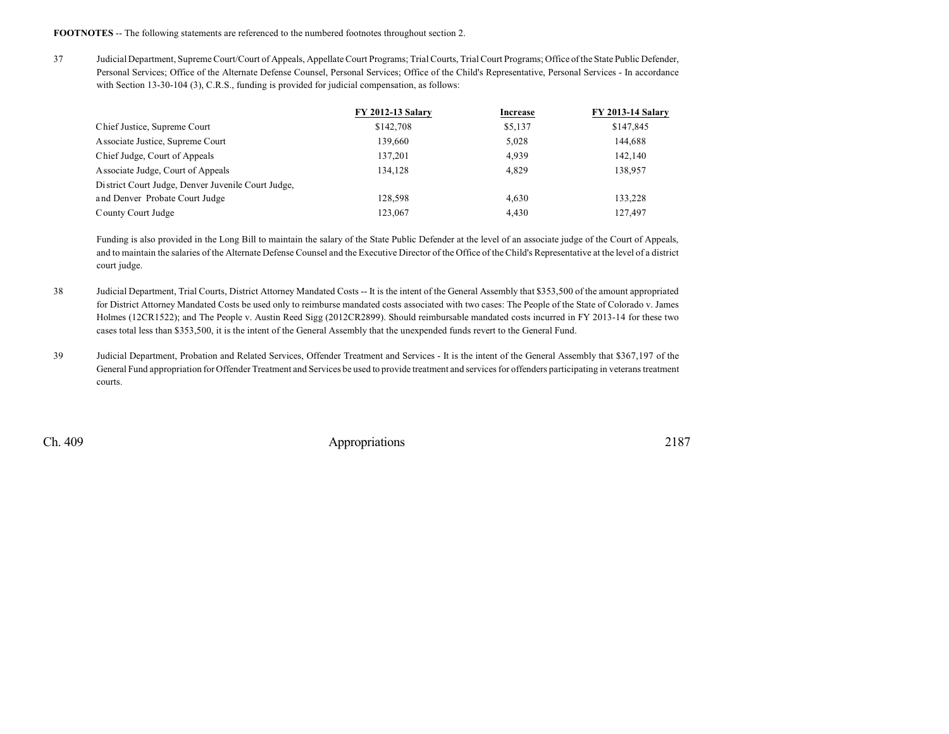**FOOTNOTES** -- The following statements are referenced to the numbered footnotes throughout section 2.

37 Judicial Department, SupremeCourt/Court of Appeals, AppellateCourt Programs; Trial Courts, TrialCourt Programs; Office of the State Public Defender, Personal Services; Office of the Alternate Defense Counsel, Personal Services; Office of the Child's Representative, Personal Services - In accordance with Section 13-30-104 (3), C.R.S., funding is provided for judicial compensation, as follows:

|                                                    | <b>FY 2012-13 Salary</b> | Increase | <b>FY 2013-14 Salary</b> |
|----------------------------------------------------|--------------------------|----------|--------------------------|
| Chief Justice, Supreme Court                       | \$142,708                | \$5,137  | \$147,845                |
| Associate Justice, Supreme Court                   | 139.660                  | 5,028    | 144,688                  |
| Chief Judge, Court of Appeals                      | 137,201                  | 4,939    | 142,140                  |
| Associate Judge, Court of Appeals                  | 134.128                  | 4.829    | 138,957                  |
| District Court Judge, Denver Juvenile Court Judge, |                          |          |                          |
| and Denver Probate Court Judge                     | 128.598                  | 4.630    | 133.228                  |
| County Court Judge                                 | 123,067                  | 4.430    | 127,497                  |

Funding is also provided in the Long Bill to maintain the salary of the State Public Defender at the level of an associate judge of the Court of Appeals, and to maintain the salaries of the Alternate Defense Counsel and the Executive Director of the Office of the Child's Representative at the level of a district court judge.

- 38 Judicial Department, Trial Courts, District Attorney Mandated Costs -- It is the intent of the General Assembly that \$353,500 of the amount appropriated for District Attorney Mandated Costs be used only to reimburse mandated costs associated with two cases: The People of the State of Colorado v. James Holmes (12CR1522); and The People v. Austin Reed Sigg (2012CR2899). Should reimbursable mandated costs incurred in FY 2013-14 for these two cases total less than \$353,500, it is the intent of the General Assembly that the unexpended funds revert to the General Fund.
- 39 Judicial Department, Probation and Related Services, Offender Treatment and Services It is the intent of the General Assembly that \$367,197 of the General Fund appropriation for Offender Treatment and Services be used to provide treatment and services for offenders participating in veterans treatment courts.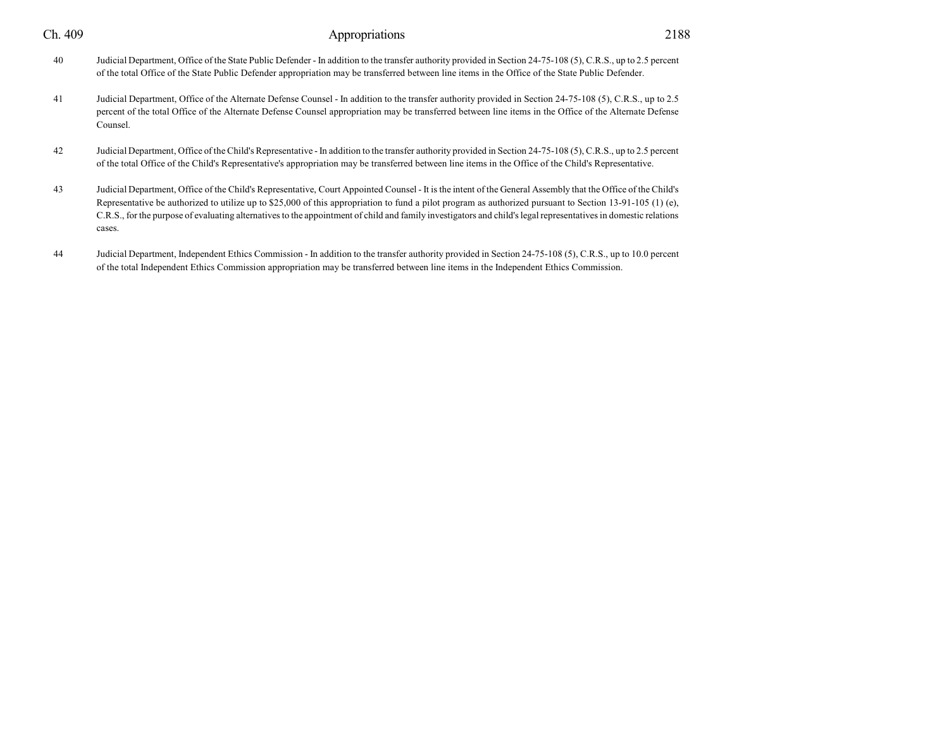| Ch. 409 | Appropriations                                                                                                                                                                                                                                                                                                                                                                                                                                                                                         | 2188 |
|---------|--------------------------------------------------------------------------------------------------------------------------------------------------------------------------------------------------------------------------------------------------------------------------------------------------------------------------------------------------------------------------------------------------------------------------------------------------------------------------------------------------------|------|
| 40      | Judicial Department, Office of the State Public Defender - In addition to the transfer authority provided in Section 24-75-108 (5), C.R.S., up to 2.5 percent<br>of the total Office of the State Public Defender appropriation may be transferred between line items in the Office of the State Public Defender.                                                                                                                                                                                      |      |
| 41      | Judicial Department, Office of the Alternate Defense Counsel - In addition to the transfer authority provided in Section 24-75-108 (5), C.R.S., up to 2.5<br>percent of the total Office of the Alternate Defense Counsel appropriation may be transferred between line items in the Office of the Alternate Defense<br>Counsel.                                                                                                                                                                       |      |
| 42      | Judicial Department, Office of the Child's Representative - In addition to the transfer authority provided in Section 24-75-108 (5), C.R.S., up to 2.5 percent<br>of the total Office of the Child's Representative's appropriation may be transferred between line items in the Office of the Child's Representative.                                                                                                                                                                                 |      |
| 43      | Judicial Department, Office of the Child's Representative, Court Appointed Counsel - It is the intent of the General Assembly that the Office of the Child's<br>Representative be authorized to utilize up to \$25,000 of this appropriation to fund a pilot program as authorized pursuant to Section 13-91-105 (1) (e),<br>C.R.S., for the purpose of evaluating alternatives to the appointment of child and family investigators and child's legal representatives in domestic relations<br>cases. |      |

44 Judicial Department, Independent Ethics Commission - In addition to the transfer authority provided in Section 24-75-108 (5), C.R.S., up to 10.0 percent of the total Independent Ethics Commission appropriation may be transferred between line items in the Independent Ethics Commission.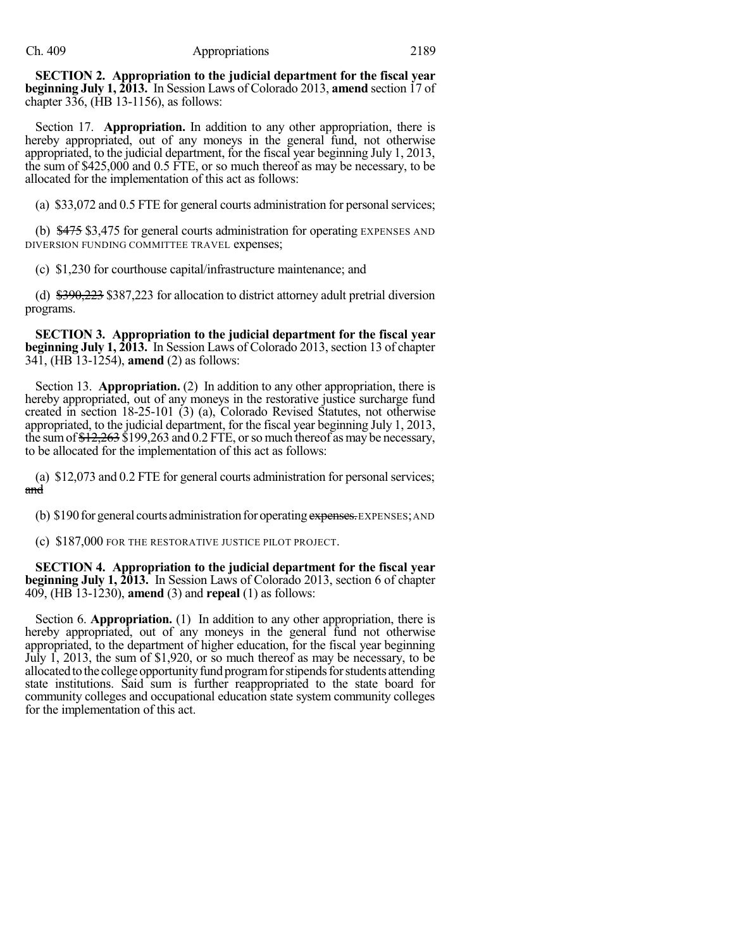**SECTION 2. Appropriation to the judicial department for the fiscal year beginning July 1, 2013.** In Session Laws of Colorado 2013, **amend** section 17 of chapter 336, (HB 13-1156), as follows:

Section 17. **Appropriation.** In addition to any other appropriation, there is hereby appropriated, out of any moneys in the general fund, not otherwise appropriated, to the judicial department, for the fiscal year beginning July 1, 2013, the sum of \$425,000 and 0.5 FTE, or so much thereof as may be necessary, to be allocated for the implementation of this act as follows:

(a) \$33,072 and 0.5 FTE for general courts administration for personalservices;

(b) \$475 \$3,475 for general courts administration for operating EXPENSES AND DIVERSION FUNDING COMMITTEE TRAVEL expenses;

(c) \$1,230 for courthouse capital/infrastructure maintenance; and

(d) \$390,223 \$387,223 for allocation to district attorney adult pretrial diversion programs.

**SECTION 3. Appropriation to the judicial department for the fiscal year beginning July 1, 2013.** In Session Laws of Colorado 2013, section 13 of chapter 341, (HB 13-1254), **amend** (2) as follows:

Section 13. **Appropriation.** (2) In addition to any other appropriation, there is hereby appropriated, out of any moneys in the restorative justice surcharge fund created in section 18-25-101 (3) (a), Colorado Revised Statutes, not otherwise appropriated, to the judicial department, for the fiscal year beginning July 1, 2013, the sum of  $\frac{$12,263}{$199,263}$  and 0.2 FTE, or so much thereof as may be necessary, to be allocated for the implementation of this act as follows:

(a) \$12,073 and 0.2 FTE for general courts administration for personalservices; and

(b) \$190 for general courts administration for operating expenses. EXPENSES; AND

(c) \$187,000 FOR THE RESTORATIVE JUSTICE PILOT PROJECT.

**SECTION 4. Appropriation to the judicial department for the fiscal year beginning July 1, 2013.** In Session Laws of Colorado 2013, section 6 of chapter 409, (HB 13-1230), **amend** (3) and **repeal** (1) as follows:

Section 6. **Appropriation.** (1) In addition to any other appropriation, there is hereby appropriated, out of any moneys in the general fund not otherwise appropriated, to the department of higher education, for the fiscal year beginning July 1, 2013, the sum of \$1,920, or so much thereof as may be necessary, to be allocated to the college opportunity fund program for stipends for students attending state institutions. Said sum is further reappropriated to the state board for community colleges and occupational education state system community colleges for the implementation of this act.